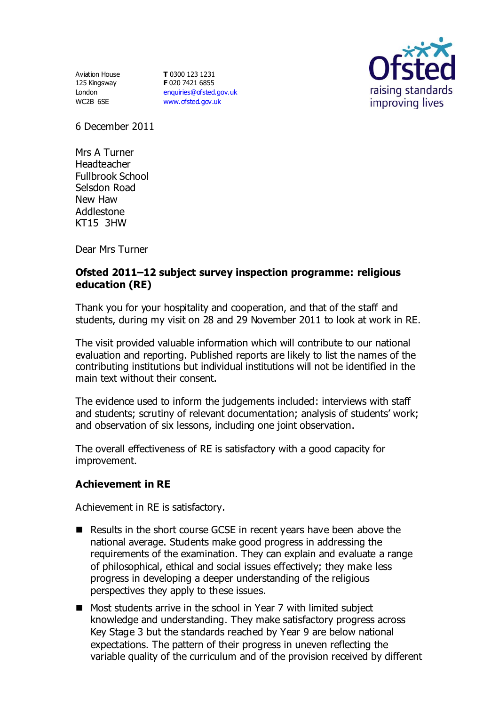Aviation House 125 Kingsway London WC2B 6SE

**T** 0300 123 1231 **F** 020 7421 6855 [enquiries@ofsted.gov.uk](mailto:enquiries@ofsted.gov.uk) [www.ofsted.gov.uk](http://www.ofsted.gov.uk/)



6 December 2011

Mrs A Turner Headteacher Fullbrook School Selsdon Road New Haw Addlestone KT15 3HW

Dear Mrs Turner

## **Ofsted 2011–12 subject survey inspection programme: religious education (RE)**

Thank you for your hospitality and cooperation, and that of the staff and students, during my visit on 28 and 29 November 2011 to look at work in RE.

The visit provided valuable information which will contribute to our national evaluation and reporting. Published reports are likely to list the names of the contributing institutions but individual institutions will not be identified in the main text without their consent.

The evidence used to inform the judgements included: interviews with staff and students; scrutiny of relevant documentation; analysis of students' work; and observation of six lessons, including one joint observation.

The overall effectiveness of RE is satisfactory with a good capacity for improvement.

### **Achievement in RE**

Achievement in RE is satisfactory.

- Results in the short course GCSE in recent years have been above the national average. Students make good progress in addressing the requirements of the examination. They can explain and evaluate a range of philosophical, ethical and social issues effectively; they make less progress in developing a deeper understanding of the religious perspectives they apply to these issues.
- Most students arrive in the school in Year 7 with limited subject knowledge and understanding. They make satisfactory progress across Key Stage 3 but the standards reached by Year 9 are below national expectations. The pattern of their progress in uneven reflecting the variable quality of the curriculum and of the provision received by different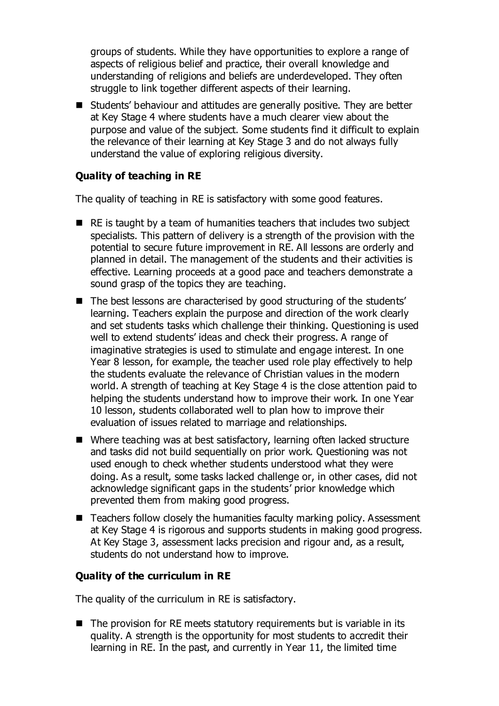groups of students. While they have opportunities to explore a range of aspects of religious belief and practice, their overall knowledge and understanding of religions and beliefs are underdeveloped. They often struggle to link together different aspects of their learning.

■ Students' behaviour and attitudes are generally positive. They are better at Key Stage 4 where students have a much clearer view about the purpose and value of the subject. Some students find it difficult to explain the relevance of their learning at Key Stage 3 and do not always fully understand the value of exploring religious diversity.

## **Quality of teaching in RE**

The quality of teaching in RE is satisfactory with some good features.

- $\blacksquare$  RE is taught by a team of humanities teachers that includes two subject specialists. This pattern of delivery is a strength of the provision with the potential to secure future improvement in RE. All lessons are orderly and planned in detail. The management of the students and their activities is effective. Learning proceeds at a good pace and teachers demonstrate a sound grasp of the topics they are teaching.
- The best lessons are characterised by good structuring of the students' learning. Teachers explain the purpose and direction of the work clearly and set students tasks which challenge their thinking. Questioning is used well to extend students' ideas and check their progress. A range of imaginative strategies is used to stimulate and engage interest. In one Year 8 lesson, for example, the teacher used role play effectively to help the students evaluate the relevance of Christian values in the modern world. A strength of teaching at Key Stage 4 is the close attention paid to helping the students understand how to improve their work. In one Year 10 lesson, students collaborated well to plan how to improve their evaluation of issues related to marriage and relationships.
- Where teaching was at best satisfactory, learning often lacked structure and tasks did not build sequentially on prior work. Questioning was not used enough to check whether students understood what they were doing. As a result, some tasks lacked challenge or, in other cases, did not acknowledge significant gaps in the students' prior knowledge which prevented them from making good progress.
- $\blacksquare$  Teachers follow closely the humanities faculty marking policy. Assessment at Key Stage 4 is rigorous and supports students in making good progress. At Key Stage 3, assessment lacks precision and rigour and, as a result, students do not understand how to improve.

# **Quality of the curriculum in RE**

The quality of the curriculum in RE is satisfactory.

 $\blacksquare$  The provision for RE meets statutory requirements but is variable in its quality. A strength is the opportunity for most students to accredit their learning in RE. In the past, and currently in Year 11, the limited time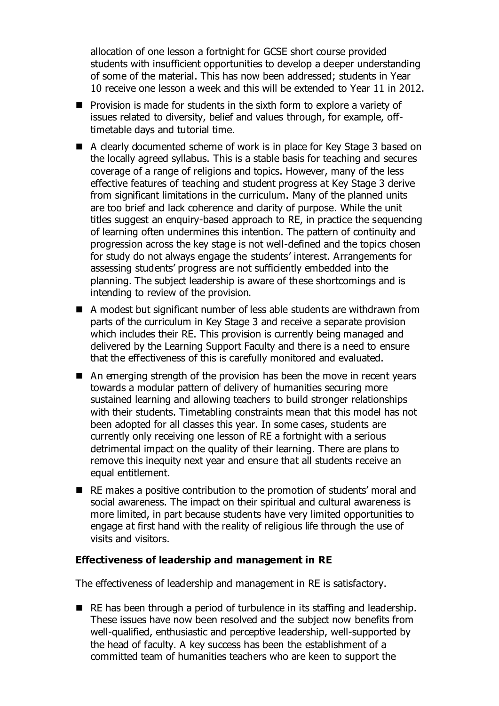allocation of one lesson a fortnight for GCSE short course provided students with insufficient opportunities to develop a deeper understanding of some of the material. This has now been addressed; students in Year 10 receive one lesson a week and this will be extended to Year 11 in 2012.

- $\blacksquare$  Provision is made for students in the sixth form to explore a variety of issues related to diversity, belief and values through, for example, offtimetable days and tutorial time.
- A clearly documented scheme of work is in place for Key Stage 3 based on the locally agreed syllabus. This is a stable basis for teaching and secures coverage of a range of religions and topics. However, many of the less effective features of teaching and student progress at Key Stage 3 derive from significant limitations in the curriculum. Many of the planned units are too brief and lack coherence and clarity of purpose. While the unit titles suggest an enquiry-based approach to RE, in practice the sequencing of learning often undermines this intention. The pattern of continuity and progression across the key stage is not well-defined and the topics chosen for study do not always engage the students' interest. Arrangements for assessing students' progress are not sufficiently embedded into the planning. The subject leadership is aware of these shortcomings and is intending to review of the provision.
- A modest but significant number of less able students are withdrawn from parts of the curriculum in Key Stage 3 and receive a separate provision which includes their RE. This provision is currently being managed and delivered by the Learning Support Faculty and there is a need to ensure that the effectiveness of this is carefully monitored and evaluated.
- An emerging strength of the provision has been the move in recent years towards a modular pattern of delivery of humanities securing more sustained learning and allowing teachers to build stronger relationships with their students. Timetabling constraints mean that this model has not been adopted for all classes this year. In some cases, students are currently only receiving one lesson of RE a fortnight with a serious detrimental impact on the quality of their learning. There are plans to remove this inequity next year and ensure that all students receive an equal entitlement.
- RE makes a positive contribution to the promotion of students' moral and social awareness. The impact on their spiritual and cultural awareness is more limited, in part because students have very limited opportunities to engage at first hand with the reality of religious life through the use of visits and visitors.

#### **Effectiveness of leadership and management in RE**

The effectiveness of leadership and management in RE is satisfactory.

RE has been through a period of turbulence in its staffing and leadership. These issues have now been resolved and the subject now benefits from well-qualified, enthusiastic and perceptive leadership, well-supported by the head of faculty. A key success has been the establishment of a committed team of humanities teachers who are keen to support the